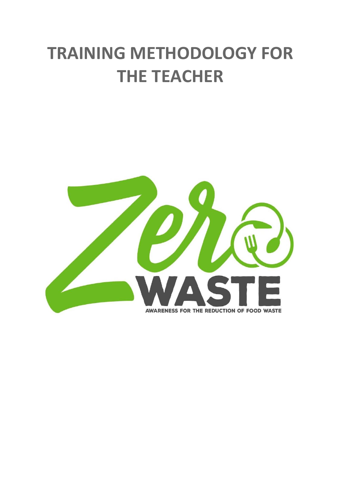# **TRAINING METHODOLOGY FOR THE TEACHER**

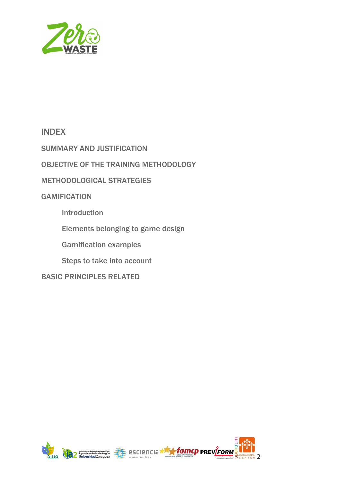

### **INDEX**

SUMMARY AND JUSTIFICATION

OBJECTIVE OF THE TRAINING METHODOLOGY

METHODOLOGICAL STRATEGIES

**GAMIFICATION** 

Introduction

Elements belonging to game design

Gamification examples

Steps to take into account

BASIC PRINCIPLES RELATED



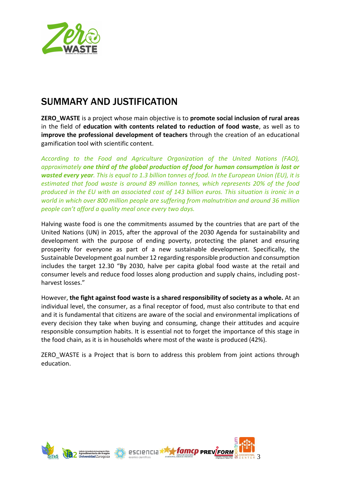

### **SUMMARY AND JUSTIFICATION**

**ZERO\_WASTE** is a project whose main objective is to **promote social inclusion of rural areas**  in the field of **education with contents related to reduction of food waste**, as well as to **improve the professional development of teachers** through the creation of an educational gamification tool with scientific content.

*According to the Food and Agriculture Organization of the United Nations (FAO), approximately one third of the global production of food for human consumption is lost or wasted every year. This is equal to 1.3 billion tonnes of food. In the European Union (EU), it is estimated that food waste is around 89 million tonnes, which represents 20% of the food produced in the EU with an associated cost of 143 billion euros. This situation is ironic in a world in which over 800 million people are suffering from malnutrition and around 36 million people can't afford a quality meal once every two days.*

Halving waste food is one the commitments assumed by the countries that are part of the United Nations (UN) in 2015, after the approval of the 2030 Agenda for sustainability and development with the purpose of ending poverty, protecting the planet and ensuring prosperity for everyone as part of a new sustainable development. Specifically, the Sustainable Development goal number 12 regarding responsible production and consumption includes the target 12.30 "By 2030, halve per capita global food waste at the retail and consumer levels and reduce food losses along production and supply chains, including postharvest losses."

However, **the fight against food waste is a shared responsibility of society as a whole.** At an individual level, the consumer, as a final receptor of food, must also contribute to that end and it is fundamental that citizens are aware of the social and environmental implications of every decision they take when buying and consuming, change their attitudes and acquire responsible consumption habits. It is essential not to forget the importance of this stage in the food chain, as it is in households where most of the waste is produced (42%).

ZERO WASTE is a Project that is born to address this problem from joint actions through education.



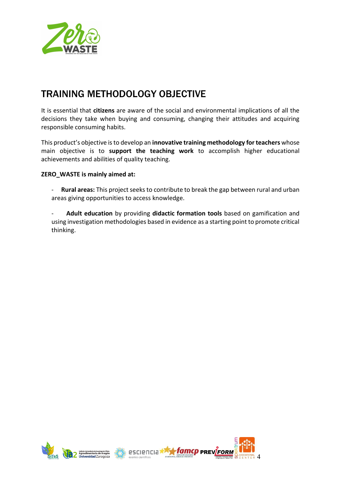

### **TRAINING METHODOLOGY OBJECTIVE**

It is essential that **citizens** are aware of the social and environmental implications of all the decisions they take when buying and consuming, changing their attitudes and acquiring responsible consuming habits.

This product's objective is to develop an **innovative training methodology for teachers** whose main objective is to **support the teaching work** to accomplish higher educational achievements and abilities of quality teaching.

#### **ZERO\_WASTE is mainly aimed at:**

- **Rural areas:** This project seeks to contribute to break the gap between rural and urban areas giving opportunities to access knowledge.
- **Adult education** by providing **didactic formation tools** based on gamification and using investigation methodologies based in evidence as a starting point to promote critical thinking.



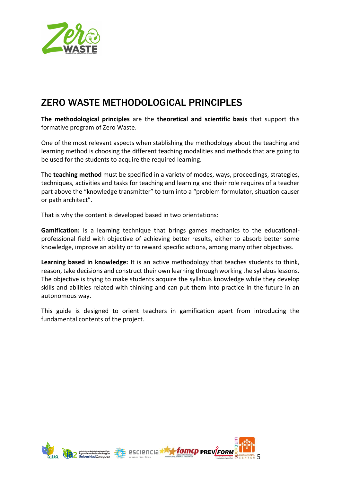

### **ZERO WASTE METHODOLOGICAL PRINCIPLES**

**The methodological principles** are the **theoretical and scientific basis** that support this formative program of Zero Waste.

One of the most relevant aspects when stablishing the methodology about the teaching and learning method is choosing the different teaching modalities and methods that are going to be used for the students to acquire the required learning.

The **teaching method** must be specified in a variety of modes, ways, proceedings, strategies, techniques, activities and tasks for teaching and learning and their role requires of a teacher part above the "knowledge transmitter" to turn into a "problem formulator, situation causer or path architect".

That is why the content is developed based in two orientations:

**Gamification:** Is a learning technique that brings games mechanics to the educationalprofessional field with objective of achieving better results, either to absorb better some knowledge, improve an ability or to reward specific actions, among many other objectives.

**Learning based in knowledge:** It is an active methodology that teaches students to think, reason, take decisions and construct their own learning through working the syllabus lessons. The objective is trying to make students acquire the syllabus knowledge while they develop skills and abilities related with thinking and can put them into practice in the future in an autonomous way.

This guide is designed to orient teachers in gamification apart from introducing the fundamental contents of the project.



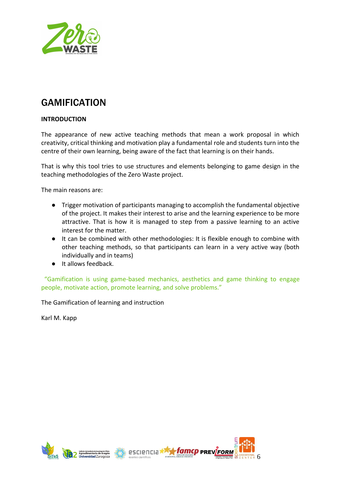

### **GAMIFICATION**

#### **INTRODUCTION**

The appearance of new active teaching methods that mean a work proposal in which creativity, critical thinking and motivation play a fundamental role and students turn into the centre of their own learning, being aware of the fact that learning is on their hands.

That is why this tool tries to use structures and elements belonging to game design in the teaching methodologies of the Zero Waste project.

The main reasons are:

- Trigger motivation of participants managing to accomplish the fundamental objective of the project. It makes their interest to arise and the learning experience to be more attractive. That is how it is managed to step from a passive learning to an active interest for the matter.
- It can be combined with other methodologies: It is flexible enough to combine with other teaching methods, so that participants can learn in a very active way (both individually and in teams)
- It allows feedback.

 "Gamification is using game-based mechanics, aesthetics and game thinking to engage people, motivate action, promote learning, and solve problems."

The Gamification of learning and instruction

Karl M. Kapp



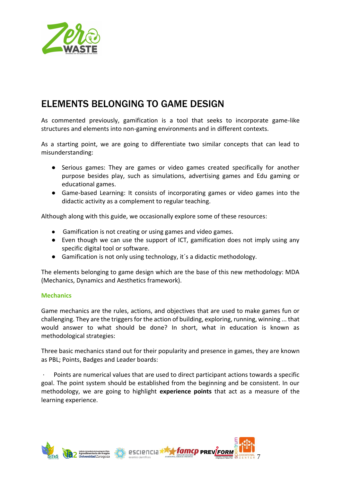

### **ELEMENTS BELONGING TO GAME DESIGN**

As commented previously, gamification is a tool that seeks to incorporate game-like structures and elements into non-gaming environments and in different contexts.

As a starting point, we are going to differentiate two similar concepts that can lead to misunderstanding:

- Serious games: They are games or video games created specifically for another purpose besides play, such as simulations, advertising games and Edu gaming or educational games.
- Game-based Learning: It consists of incorporating games or video games into the didactic activity as a complement to regular teaching.

Although along with this guide, we occasionally explore some of these resources:

- Gamification is not creating or using games and video games.
- Even though we can use the support of ICT, gamification does not imply using any specific digital tool or software.
- Gamification is not only using technology, it's a didactic methodology.

The elements belonging to game design which are the base of this new methodology: MDA (Mechanics, Dynamics and Aesthetics framework).

#### **Mechanics**

Game mechanics are the rules, actions, and objectives that are used to make games fun or challenging. They are the triggers for the action of building, exploring, running, winning ... that would answer to what should be done? In short, what in education is known as methodological strategies:

Three basic mechanics stand out for their popularity and presence in games, they are known as PBL; Points, Badges and Leader boards:

· Points are numerical values that are used to direct participant actions towards a specific goal. The point system should be established from the beginning and be consistent. In our methodology, we are going to highlight **experience points** that act as a measure of the learning experience.

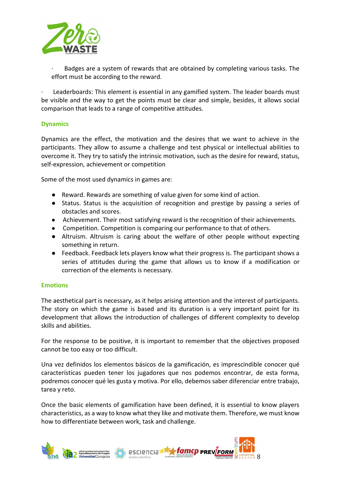

· Badges are a system of rewards that are obtained by completing various tasks. The effort must be according to the reward.

Leaderboards: This element is essential in any gamified system. The leader boards must be visible and the way to get the points must be clear and simple, besides, it allows social comparison that leads to a range of competitive attitudes.

#### **Dynamics**

Dynamics are the effect, the motivation and the desires that we want to achieve in the participants. They allow to assume a challenge and test physical or intellectual abilities to overcome it. They try to satisfy the intrinsic motivation, such as the desire for reward, status, self-expression, achievement or competition

Some of the most used dynamics in games are:

- Reward. Rewards are something of value given for some kind of action.
- Status. Status is the acquisition of recognition and prestige by passing a series of obstacles and scores.
- Achievement. Their most satisfying reward is the recognition of their achievements.
- Competition. Competition is comparing our performance to that of others.
- Altruism. Altruism is caring about the welfare of other people without expecting something in return.
- Feedback. Feedback lets players know what their progress is. The participant shows a series of attitudes during the game that allows us to know if a modification or correction of the elements is necessary.

#### **Emotions**

The aesthetical part is necessary, as it helps arising attention and the interest of participants. The story on which the game is based and its duration is a very important point for its development that allows the introduction of challenges of different complexity to develop skills and abilities.

For the response to be positive, it is important to remember that the objectives proposed cannot be too easy or too difficult.

Una vez definidos los elementos básicos de la gamificación, es imprescindible conocer qué características pueden tener los jugadores que nos podemos encontrar, de esta forma, podremos conocer qué les gusta y motiva. Por ello, debemos saber diferenciar entre trabajo, tarea y reto.

Once the basic elements of gamification have been defined, it is essential to know players characteristics, as a way to know what they like and motivate them. Therefore, we must know how to differentiate between work, task and challenge.

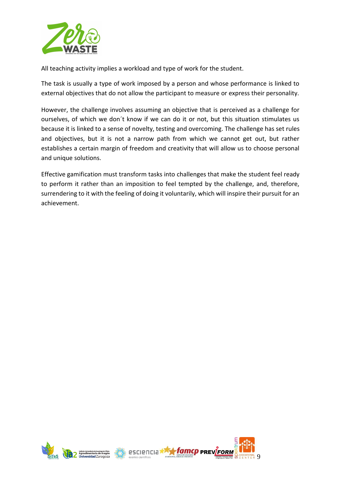

All teaching activity implies a workload and type of work for the student.

The task is usually a type of work imposed by a person and whose performance is linked to external objectives that do not allow the participant to measure or express their personality.

However, the challenge involves assuming an objective that is perceived as a challenge for ourselves, of which we don´t know if we can do it or not, but this situation stimulates us because it is linked to a sense of novelty, testing and overcoming. The challenge has set rules and objectives, but it is not a narrow path from which we cannot get out, but rather establishes a certain margin of freedom and creativity that will allow us to choose personal and unique solutions.

Effective gamification must transform tasks into challenges that make the student feel ready to perform it rather than an imposition to feel tempted by the challenge, and, therefore, surrendering to it with the feeling of doing it voluntarily, which will inspire their pursuit for an achievement.



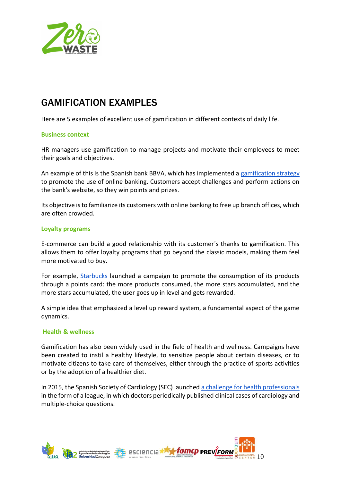

### **GAMIFICATION EXAMPLES**

Here are 5 examples of excellent use of gamification in different contexts of daily life.

#### **Business context**

HR managers use gamification to manage projects and motivate their employees to meet their goals and objectives.

An example of this is the Spanish bank BBVA, which has implemented a [gamification strategy](https://www.bbva.es/eng/particulares/subhome/bbva-game-juega/index.jsp) to promote the use of online banking. Customers accept challenges and perform actions on the bank's website, so they win points and prizes.

Its objective is to familiarize its customers with online banking to free up branch offices, which are often crowded.

#### **Loyalty programs**

E-commerce can build a good relationship with its customer´s thanks to gamification. This allows them to offer loyalty programs that go beyond the classic models, making them feel more motivated to buy.

For example[,](https://www.starbucks.com/rewards#starcode) [Starbucks](https://www.starbucks.com/rewards#starcode) launched a campaign to promote the consumption of its products through a points card: the more products consumed, the more stars accumulated, and the more stars accumulated, the user goes up in level and gets rewarded.

A simple idea that emphasized a level up reward system, a fundamental aspect of the game dynamics.

#### **Health & wellness**

Gamification has also been widely used in the field of health and wellness. Campaigns have been created to instil a healthy lifestyle, to sensitize people about certain diseases, or to motivate citizens to take care of themselves, either through the practice of sports activities or by the adoption of a healthier diet.

In 2015, the Spanish Society of Cardiology (SEC) launched [a challenge for health professionals](https://ligacasosclinicos.com/) in the form of a league, in which doctors periodically published clinical cases of cardiology and multiple-choice questions.

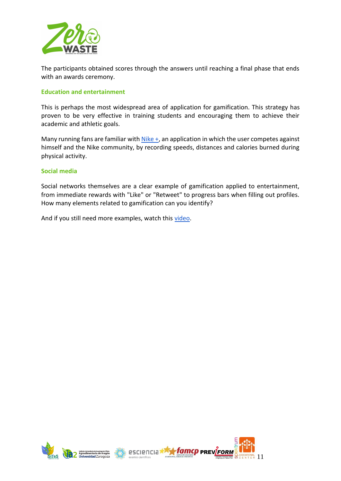

The participants obtained scores through the answers until reaching a final phase that ends with an awards ceremony.

#### **Education and entertainment**

This is perhaps the most widespread area of application for gamification. This strategy has proven to be very effective in training students and encouraging them to achieve their academic and athletic goals.

Many running fans are familiar wit[h](https://www.nike.com/nrc-app)  $Nike +$ , an application in which the user competes against himself and the Nike community, by recording speeds, distances and calories burned during physical activity.

#### **Social media**

Social networks themselves are a clear example of gamification applied to entertainment, from immediate rewards with "Like" or "Retweet" to progress bars when filling out profiles. How many elements related to gamification can you identify?

And if you still need more examples, watch thi[s](https://www.youtube.com/watch?v=CFeeSANGGlA) [video.](https://www.youtube.com/watch?v=CFeeSANGGlA)



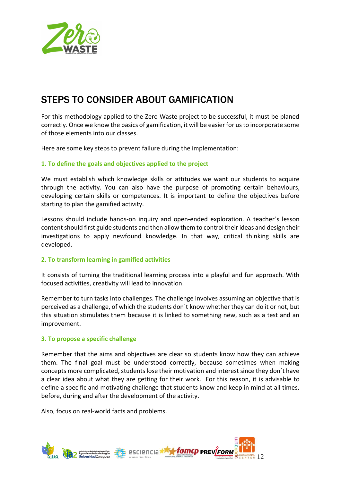

### **STEPS TO CONSIDER ABOUT GAMIFICATION**

For this methodology applied to the Zero Waste project to be successful, it must be planed correctly. Once we know the basics of gamification, it will be easier for us to incorporate some of those elements into our classes.

Here are some key steps to prevent failure during the implementation:

#### **1. To define the goals and objectives applied to the project**

We must establish which knowledge skills or attitudes we want our students to acquire through the activity. You can also have the purpose of promoting certain behaviours, developing certain skills or competences. It is important to define the objectives before starting to plan the gamified activity.

Lessons should include hands-on inquiry and open-ended exploration. A teacher´s lesson content should first guide students and then allow them to control their ideas and design their investigations to apply newfound knowledge. In that way, critical thinking skills are developed.

#### **2. To transform learning in gamified activities**

It consists of turning the traditional learning process into a playful and fun approach. With focused activities, creativity will lead to innovation.

Remember to turn tasks into challenges. The challenge involves assuming an objective that is perceived as a challenge, of which the students don´t know whether they can do it or not, but this situation stimulates them because it is linked to something new, such as a test and an improvement.

#### **3. To propose a specific challenge**

Remember that the aims and objectives are clear so students know how they can achieve them. The final goal must be understood correctly, because sometimes when making concepts more complicated, students lose their motivation and interest since they don´t have a clear idea about what they are getting for their work. For this reason, it is advisable to define a specific and motivating challenge that students know and keep in mind at all times, before, during and after the development of the activity.

Also, focus on real-world facts and problems.

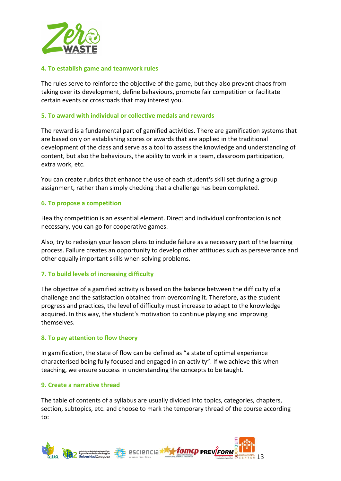

#### **4. To establish game and teamwork rules**

The rules serve to reinforce the objective of the game, but they also prevent chaos from taking over its development, define behaviours, promote fair competition or facilitate certain events or crossroads that may interest you.

#### **5. To award with individual or collective medals and rewards**

The reward is a fundamental part of gamified activities. There are gamification systems that are based only on establishing scores or awards that are applied in the traditional development of the class and serve as a tool to assess the knowledge and understanding of content, but also the behaviours, the ability to work in a team, classroom participation, extra work, etc.

You can create rubrics that enhance the use of each student's skill set during a group assignment, rather than simply checking that a challenge has been completed.

#### **6. To propose a competition**

Healthy competition is an essential element. Direct and individual confrontation is not necessary, you can go for cooperative games.

Also, try to redesign your lesson plans to include failure as a necessary part of the learning process. Failure creates an opportunity to develop other attitudes such as perseverance and other equally important skills when solving problems.

#### **7. To build levels of increasing difficulty**

The objective of a gamified activity is based on the balance between the difficulty of a challenge and the satisfaction obtained from overcoming it. Therefore, as the student progress and practices, the level of difficulty must increase to adapt to the knowledge acquired. In this way, the student's motivation to continue playing and improving themselves.

#### **8. To pay attention to flow theory**

In gamification, the state of flow can be defined as "a state of optimal experience characterised being fully focused and engaged in an activity". If we achieve this when teaching, we ensure success in understanding the concepts to be taught.

#### **9. Create a narrative thread**

The table of contents of a syllabus are usually divided into topics, categories, chapters, section, subtopics, etc. and choose to mark the temporary thread of the course according to:

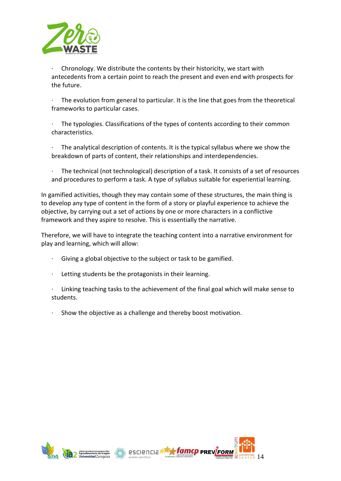

· Chronology. We distribute the contents by their historicity, we start with antecedents from a certain point to reach the present and even end with prospects for the future.

The evolution from general to particular. It is the line that goes from the theoretical frameworks to particular cases.

The typologies. Classifications of the types of contents according to their common characteristics.

The analytical description of contents. It is the typical syllabus where we show the breakdown of parts of content, their relationships and interdependencies.

The technical (not technological) description of a task. It consists of a set of resources and procedures to perform a task. A type of syllabus suitable for experiential learning.

In gamified activities, though they may contain some of these structures, the main thing is to develop any type of content in the form of a story or playful experience to achieve the objective, by carrying out a set of actions by one or more characters in a conflictive framework and they aspire to resolve. This is essentially the narrative.

Therefore, we will have to integrate the teaching content into a narrative environment for play and learning, which will allow:

- Giving a global objective to the subject or task to be gamified.
- Letting students be the protagonists in their learning.
- · Linking teaching tasks to the achievement of the final goal which will make sense to students.
- Show the objective as a challenge and thereby boost motivation.



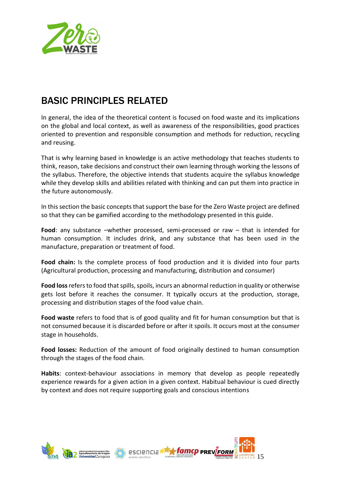

## **BASIC PRINCIPLES RELATED**

In general, the idea of the theoretical content is focused on food waste and its implications on the global and local context, as well as awareness of the responsibilities, good practices oriented to prevention and responsible consumption and methods for reduction, recycling and reusing.

That is why learning based in knowledge is an active methodology that teaches students to think, reason, take decisions and construct their own learning through working the lessons of the syllabus. Therefore, the objective intends that students acquire the syllabus knowledge while they develop skills and abilities related with thinking and can put them into practice in the future autonomously.

In this section the basic concepts that support the base for the Zero Waste project are defined so that they can be gamified according to the methodology presented in this guide.

**Food**: any substance –whether processed, semi-processed or raw – that is intended for human consumption. It includes drink, and any substance that has been used in the manufacture, preparation or treatment of food.

**Food chain:** Is the complete process of food production and it is divided into four parts (Agricultural production, processing and manufacturing, distribution and consumer)

**Food loss**refers to food that spills, spoils, incurs an abnormal reduction in quality or otherwise gets lost before it reaches the consumer. It typically occurs at the production, storage, processing and distribution stages of the food value chain.

**Food waste** refers to food that is of good quality and fit for human consumption but that is not consumed because it is discarded before or after it spoils. It occurs most at the consumer stage in households.

**Food losses:** Reduction of the amount of food originally destined to human consumption through the stages of the food chain.

**Habits**: context-behaviour associations in memory that develop as people repeatedly experience rewards for a given action in a given context. Habitual behaviour is cued directly by context and does not require supporting goals and conscious intentions

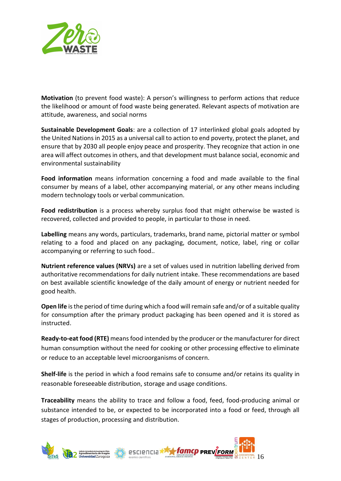

**Motivation** (to prevent food waste): A person's willingness to perform actions that reduce the likelihood or amount of food waste being generated. Relevant aspects of motivation are attitude, awareness, and social norms

**Sustainable Development Goals**: are a collection of 17 interlinked global goals adopted by the United Nations in 2015 as a universal call to action to end poverty, protect the planet, and ensure that by 2030 all people enjoy peace and prosperity. They recognize that action in one area will affect outcomes in others, and that development must balance social, economic and environmental sustainability

**Food information** means information concerning a food and made available to the final consumer by means of a label, other accompanying material, or any other means including modern technology tools or verbal communication.

**Food redistribution** is a process whereby surplus food that might otherwise be wasted is recovered, collected and provided to people, in particular to those in need.

**Labelling** means any words, particulars, trademarks, brand name, pictorial matter or symbol relating to a food and placed on any packaging, document, notice, label, ring or collar accompanying or referring to such food..

**Nutrient reference values (NRVs)** are a set of values used in nutrition labelling derived from authoritative recommendations for daily nutrient intake. These recommendations are based on best available scientific knowledge of the daily amount of energy or nutrient needed for good health.

**Open life** is the period of time during which a food will remain safe and/or of a suitable quality for consumption after the primary product packaging has been opened and it is stored as instructed.

**Ready-to-eat food (RTE)** means food intended by the producer or the manufacturer for direct human consumption without the need for cooking or other processing effective to eliminate or reduce to an acceptable level microorganisms of concern.

**Shelf-life** is the period in which a food remains safe to consume and/or retains its quality in reasonable foreseeable distribution, storage and usage conditions.

**Traceability** means the ability to trace and follow a food, feed, food-producing animal or substance intended to be, or expected to be incorporated into a food or feed, through all stages of production, processing and distribution.